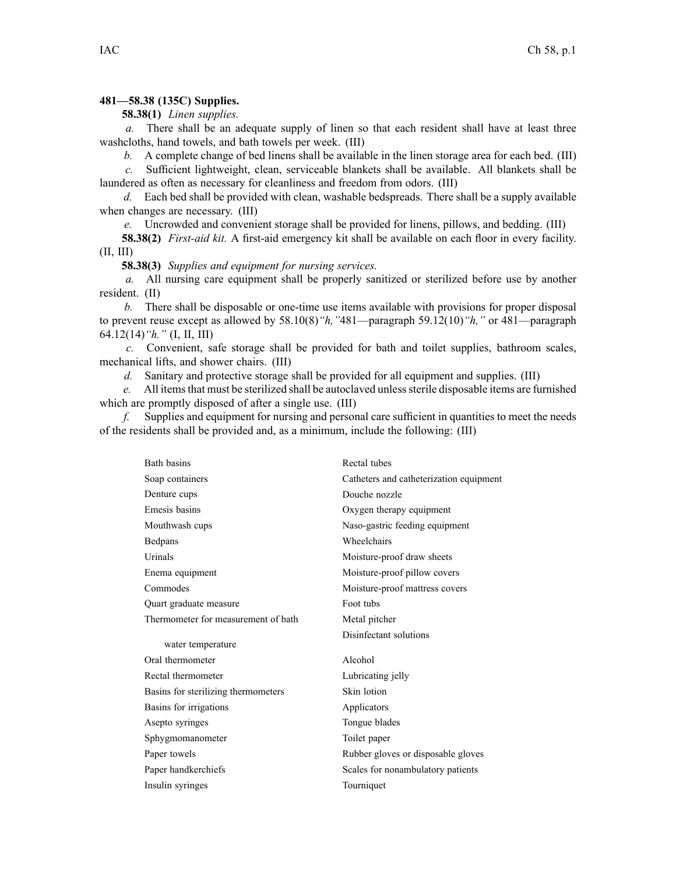## **481—58.38 (135C) Supplies.**

**58.38(1)** *Linen supplies.*

*a.* There shall be an adequate supply of linen so that each resident shall have at least three washcloths, hand towels, and bath towels per week. (III)

*b.* A complete change of bed linens shall be available in the linen storage area for each bed. (III)

*c.* Sufficient lightweight, clean, serviceable blankets shall be available. All blankets shall be laundered as often as necessary for cleanliness and freedom from odors. (III)

*d.* Each bed shall be provided with clean, washable bedspreads. There shall be <sup>a</sup> supply available when changes are necessary. (III)

*e.* Uncrowded and convenient storage shall be provided for linens, pillows, and bedding. (III)

**58.38(2)** *First-aid kit.* A first-aid emergency kit shall be available on each floor in every facility.  $(II, III)$ 

**58.38(3)** *Supplies and equipment for nursing services.*

*a.* All nursing care equipment shall be properly sanitized or sterilized before use by another resident. (II)

*b.* There shall be disposable or one-time use items available with provisions for proper disposal to preven<sup>t</sup> reuse excep<sup>t</sup> as allowed by 58.10(8)*"h,"*481—paragraph 59.12(10)*"h,"* or 481—paragraph 64.12(14)*"h."* (I, II, III)

*c.* Convenient, safe storage shall be provided for bath and toilet supplies, bathroom scales, mechanical lifts, and shower chairs. (III)

*d.* Sanitary and protective storage shall be provided for all equipment and supplies. (III)

*e.* All items that must be sterilized shall be autoclaved unless sterile disposable items are furnished which are promptly disposed of after <sup>a</sup> single use. (III)

*f.* Supplies and equipment for nursing and personal care sufficient in quantities to meet the needs of the residents shall be provided and, as <sup>a</sup> minimum, include the following: (III)

| Bath basins                         | Rectal tubes                            |
|-------------------------------------|-----------------------------------------|
| Soap containers                     | Catheters and catheterization equipment |
| Denture cups                        | Douche nozzle                           |
| Emesis basins                       | Oxygen therapy equipment                |
| Mouthwash cups                      | Naso-gastric feeding equipment          |
| Bedpans                             | Wheelchairs                             |
| Urinals                             | Moisture-proof draw sheets              |
| Enema equipment                     | Moisture-proof pillow covers            |
| Commodes                            | Moisture-proof mattress covers          |
| Quart graduate measure              | Foot tubs                               |
| Thermometer for measurement of bath | Metal pitcher                           |
| water temperature                   | Disinfectant solutions                  |
| Oral thermometer                    | Alcohol                                 |
| Rectal thermometer                  | Lubricating jelly                       |
| Basins for sterilizing thermometers | Skin lotion                             |
| Basins for irrigations              | Applicators                             |
| Asepto syringes                     | Tongue blades                           |
| Sphygmomanometer                    | Toilet paper                            |
| Paper towels                        | Rubber gloves or disposable gloves      |
| Paper handkerchiefs                 | Scales for nonambulatory patients       |
| Insulin syringes                    | Tourniquet                              |
|                                     |                                         |